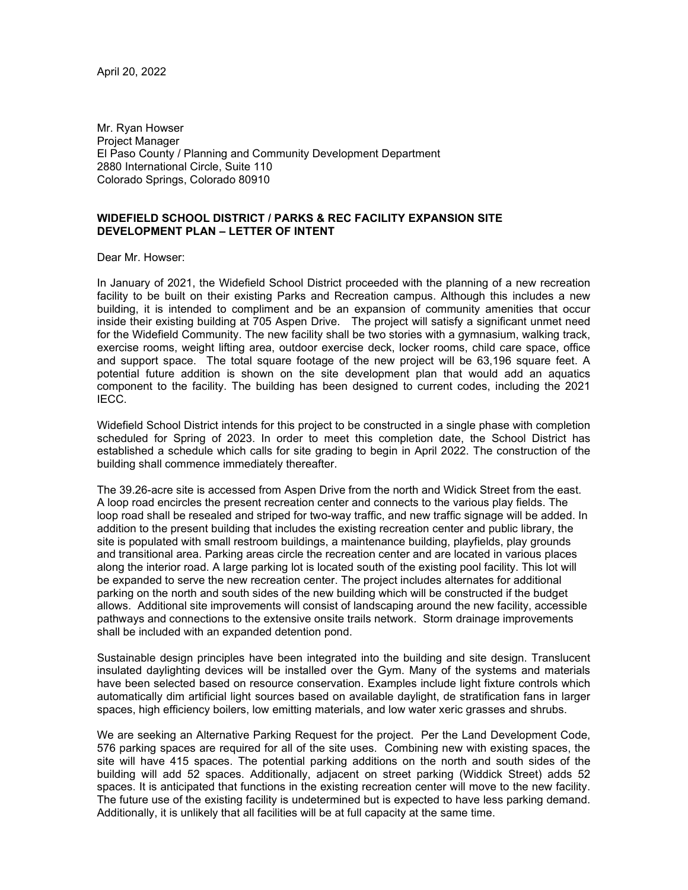April 20, 2022

Mr. Ryan Howser Project Manager El Paso County / Planning and Community Development Department 2880 International Circle, Suite 110 Colorado Springs, Colorado 80910

## **WIDEFIELD SCHOOL DISTRICT / PARKS & REC FACILITY EXPANSION SITE DEVELOPMENT PLAN – LETTER OF INTENT**

Dear Mr. Howser:

In January of 2021, the Widefield School District proceeded with the planning of a new recreation facility to be built on their existing Parks and Recreation campus. Although this includes a new building, it is intended to compliment and be an expansion of community amenities that occur inside their existing building at 705 Aspen Drive. The project will satisfy a significant unmet need for the Widefield Community. The new facility shall be two stories with a gymnasium, walking track, exercise rooms, weight lifting area, outdoor exercise deck, locker rooms, child care space, office and support space. The total square footage of the new project will be 63,196 square feet. A potential future addition is shown on the site development plan that would add an aquatics component to the facility. The building has been designed to current codes, including the 2021 IECC.

Widefield School District intends for this project to be constructed in a single phase with completion scheduled for Spring of 2023. In order to meet this completion date, the School District has established a schedule which calls for site grading to begin in April 2022. The construction of the building shall commence immediately thereafter.

The 39.26-acre site is accessed from Aspen Drive from the north and Widick Street from the east. A loop road encircles the present recreation center and connects to the various play fields. The loop road shall be resealed and striped for two-way traffic, and new traffic signage will be added. In addition to the present building that includes the existing recreation center and public library, the site is populated with small restroom buildings, a maintenance building, playfields, play grounds and transitional area. Parking areas circle the recreation center and are located in various places along the interior road. A large parking lot is located south of the existing pool facility. This lot will be expanded to serve the new recreation center. The project includes alternates for additional parking on the north and south sides of the new building which will be constructed if the budget allows. Additional site improvements will consist of landscaping around the new facility, accessible pathways and connections to the extensive onsite trails network. Storm drainage improvements shall be included with an expanded detention pond.

Sustainable design principles have been integrated into the building and site design. Translucent insulated daylighting devices will be installed over the Gym. Many of the systems and materials have been selected based on resource conservation. Examples include light fixture controls which automatically dim artificial light sources based on available daylight, de stratification fans in larger spaces, high efficiency boilers, low emitting materials, and low water xeric grasses and shrubs.

We are seeking an Alternative Parking Request for the project. Per the Land Development Code, 576 parking spaces are required for all of the site uses. Combining new with existing spaces, the site will have 415 spaces. The potential parking additions on the north and south sides of the building will add 52 spaces. Additionally, adjacent on street parking (Widdick Street) adds 52 spaces. It is anticipated that functions in the existing recreation center will move to the new facility. The future use of the existing facility is undetermined but is expected to have less parking demand. Additionally, it is unlikely that all facilities will be at full capacity at the same time.